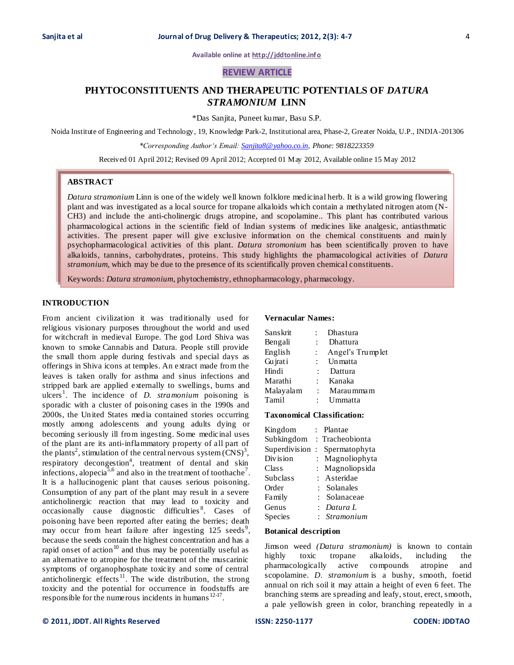**Available online at [http://jddtonline.info](http://jddtonline.info/)**

# **REVIEW ARTICLE**

# **PHYTOCONSTITUENTS AND THERAPEUTIC POTENTIALS OF** *DATURA STRAMONIUM* **LINN**

\*Das Sanjita, Puneet kumar, Basu S.P.

Noida Institute of Engineering and Technology, 19, Knowledge Park-2, Institutional area, Phase-2, Greater Noida, U.P., INDIA-201306

*\*Corresponding Author's Email: [Sanjita8@yahoo.co.in,](mailto:Sanjita8@yahoo.co.in) Phone: 9818223359*

Received 01 April 2012; Revised 09 April 2012; Accepted 01 May 2012, Available online 15 May 2012

# **ABSTRACT**

*Datura stramonium* Linn is one of the widely well known folklore medicinal herb. It is a wild growing flowering plant and was investigated as a local source for tropane alkaloids which contain a methylated nitrogen atom (N-CH3) and include the anti-cholinergic drugs atropine, and scopolamine*.*. This plant has contributed various pharmacological actions in the scientific field of Indian systems of medicines like analgesic, antiasthmatic activities. The present paper will give exclusive information on the chemical constituents and mainly psychopharmacological activities of this plant. *Datura stromonium* has been scientifically proven to have alkaloids, tannins, carbohydrates, proteins. This study highlights the pharmacological activities of *Datura stramonium,* which may be due to the presence of its scientifically proven chemical constituents.

Keywords: *Datura stramonium*, phytochemistry, ethnopharmacology, pharmacology.

## **INTRODUCTION**

From ancient civilization it was traditionally used for religious visionary purposes throughout the world and used for witchcraft in medieval Europe. The god Lord Shiva was known to smoke Cannabis and Datura. People still provide the small thorn apple during festivals and special days as offerings in Shiva icons at temples. An extract made from the leaves is taken orally for asthma and sinus infections and stripped bark are applied externally to swellings, burns and ulcers<sup>1</sup>. The incidence of *D. stramonium* poisoning is sporadic with a cluster of poisoning cases in the 1990s and 2000s, the United States media contained stories occurring mostly among adolescents and young adults dying or becoming seriously ill from ingesting. Some medicinal uses of the plant are its anti-inflammatory property of all part of the plants<sup>2</sup>, stimulation of the central nervous system  $(CNS)^3$ , respiratory decongestion<sup>4</sup>, treatment of dental and skin infections, alopecia<sup>5,6</sup> and also in the treatment of toothache<sup>7</sup>. It is a hallucinogenic plant that causes serious poisoning. Consumption of any part of the plant may result in a severe anticholinergic reaction that may lead to toxicity and occasionally cause diagnostic difficulties<sup>8</sup>. Cases of poisoning have been reported after eating the berries; death may occur from heart failure after ingesting  $125$  seeds<sup>9</sup>, because the seeds contain the highest concentration and has a rapid onset of action<sup>10</sup> and thus may be potentially useful as an alternative to atropine for the treatment of the muscarinic symptoms of organophosphate toxicity and some of central anticholinergic effects<sup>11</sup>. The wide distribution, the strong toxicity and the potential for occurrence in foodstuffs are responsible for the numerous incidents in humans  $12-17$ .

## **Vernacular Names:**

| Sanskrit  |      | Dhastura         |
|-----------|------|------------------|
| Bengali   |      | Dhattura         |
| English   | ÷.   | Angel's Trumplet |
| Gujrati   |      | <b>Un</b> matta  |
| Hindi     |      | Dattura          |
| Marathi   | t in | Kanaka           |
| Malayalam |      | : Marau mma m    |
| Tamil     |      | : Ummatta        |

#### **Taxonomical Classification:**

| Kingdom         |              | Plantae         |
|-----------------|--------------|-----------------|
| Subkingdom      |              | : Tracheobionta |
| Superdivision   | $\cdot$ :    | Spermatophyta   |
| Division        |              | : Magnoliophyta |
| Class           | $\mathbf{L}$ | Magnoliopsida   |
| <b>Subclass</b> |              | : Asteridae     |
| Order           |              | Solanales       |
| Family          |              | Solanaceae      |
| Genus           |              | Datura L        |
| Species         |              | : Stramonium    |

#### **Botanical description**

Jimson weed *(Datura stramonium)* is known to contain highly toxic tropane alkaloids, including the pharmacologically active compounds atropine and scopolamine. *D. stramonium* is a bushy, smooth, foetid annual on rich soil it may attain a height of even 6 feet. The branching stems are spreading and leafy, stout, erect, smooth, a pale yellowish green in color, branching repeatedly in a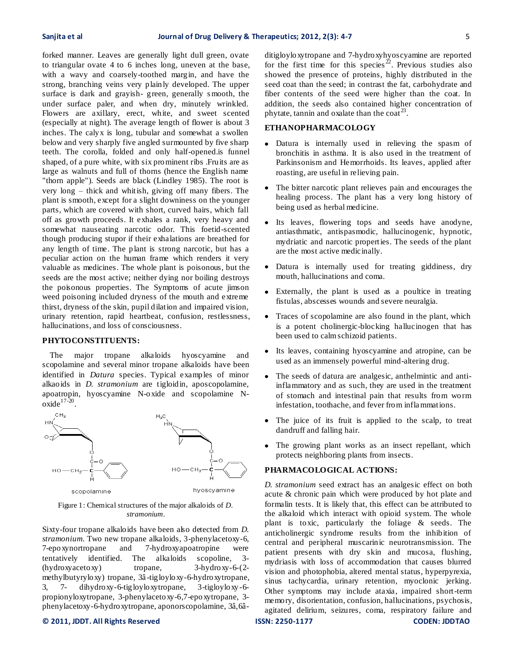forked manner. Leaves are generally light dull green, ovate to triangular ovate 4 to 6 inches long, uneven at the base, with a wavy and coarsely-toothed margin, and have the strong, branching veins very plainly developed. The upper surface is dark and grayish- green, generally s mooth, the under surface paler, and when dry, minutely wrinkled. Flowers are axillary, erect, white, and sweet scented (especially at night). The average length of flower is about 3 inches. The calyx is long, tubular and somewhat a swollen below and very sharply five angled surmounted by five sharp teeth. The corolla, folded and only half-opened.is funnel shaped, of a pure white, with six prominent ribs .Fruits are as large as walnuts and full of thorns (hence the English name "thorn apple"). Seeds are black (Lindley 1985). The root is very long – thick and whitish, giving off many fibers. The plant is smooth, except for a slight downiness on the younger parts, which are covered with short, curved hairs, which fall off as growth proceeds. It exhales a rank, very heavy and somewhat nauseating narcotic odor. This foetid-scented though producing stupor if their exhalations are breathed for any length of time. The plant is strong narcotic, but has a peculiar action on the human frame which renders it very valuable as medicines. The whole plant is poisonous, but the seeds are the most active; neither dying nor boiling destroys the poisonous properties. The Symptoms of acute jimson weed poisoning included dryness of the mouth and extreme thirst, dryness of the skin, pupil dilation and impaired vision, urinary retention, rapid heartbeat, confusion, restlessness, hallucinations, and loss of consciousness.

#### **PHYTOCONSTITUENTS:**

 The major tropane alkaloids hyoscyamine and scopolamine and several minor tropane alkaloids have been identified in *Datura* species. Typical examples of minor alkaoids in *D. stramonium* are tigloidin, aposcopolamine, apoatropin, hyoscyamine N-oxide and scopolamine N- $\overline{\text{oxide}}^{17-20}$ .



Figure 1: Chemical structures of the major alkaloids of *D. stramonium*.

Sixty-four tropane alkaloids have been also detected from *D. stramonium*. Two new tropane alkaloids, 3-phenylacetoxy-6, 7-epoxynortropane and 7-hydroxyapoatropine were tentatively identified. The alkaloids scopoline, 3- (hydroxyacetoxy) tropane, 3-hydroxy-6-(2 methylbutyryloxy) tropane, 3â -tigloyloxy-6-hydroxytropane, 3, 7- dihydroxy-6-tigloyloxytropane, 3-tigloyloxy -6 propionyloxytropane, 3-phenylacetoxy-6,7-epoxytropane, 3 phenylacetoxy-6-hydroxytropane, aponorscopolamine, 3â,6â-

### **© 2011, JDDT. All Rights Reserved ISSN: 2250-1177 CODEN: JDDTAO**

ditigloyloxytropane and 7-hydroxyhyoscyamine are reported for the first time for this species<sup> $22$ </sup>. Previous studies also showed the presence of proteins, highly distributed in the seed coat than the seed; in contrast the fat, carbohydrate and fiber contents of the seed were higher than the coat. In addition, the seeds also contained higher concentration of phytate, tannin and oxalate than the coat<sup>23</sup>.

## **ETHANOPHARMACOLOGY**

- Datura is internally used in relieving the spasm of bronchitis in asthma. It is also used in the treatment of Parkinsonism and Hemorrhoids. Its leaves, applied after roasting, are useful in relieving pain.
- The bitter narcotic plant relieves pain and encourages the healing process. The plant has a very long history of being used as herbal medicine.
- Its leaves, flowering tops and seeds have anodyne, antiasthmatic, antispasmodic, hallucinogenic, hypnotic, mydriatic and narcotic properties. The seeds of the plant are the most active medicinally.
- $\bullet$ Datura is internally used for treating giddiness, dry mouth, hallucinations and coma.
- Externally, the plant is used as a poultice in treating fistulas, abscesses wounds and severe neuralgia.
- Traces of scopolamine are also found in the plant, which is a potent cholinergic-blocking hallucinogen that has been used to calm schizoid patients.
- $\bullet$ Its leaves, containing hyoscyamine and atropine, can be used as an immensely powerful mind-altering drug.
- The seeds of datura are analgesic, anthelmintic and antiinflammatory and as such, they are used in the treatment of stomach and intestinal pain that results from worm infestation, toothache, and fever from inflammations.
- $\bullet$ The juice of its fruit is applied to the scalp, to treat dandruff and falling hair.
- The growing plant works as an insect repellant, which protects neighboring plants from insects.

# **PHARMACOLOGICAL ACTIONS:**

*D. stramonium* seed extract has an analgesic effect on both acute & chronic pain which were produced by hot plate and formalin tests. It is likely that, this effect can be attributed to the alkaloid which interact with opioid system. The whole plant is toxic, particularly the foliage & seeds. The anticholinergic syndrome results from the inhibition of central and peripheral muscarinic neurotransmission. The patient presents with dry skin and mucosa, flushing, mydriasis with loss of accommodation that causes blurred vision and photophobia, altered mental status, hyperpyrexia, sinus tachycardia, urinary retention, myoclonic jerking. Other symptoms may include ataxia, impaired short-term memory, disorientation, confusion, hallucinations, psychosis, agitated delirium, seizures, coma, respiratory failure and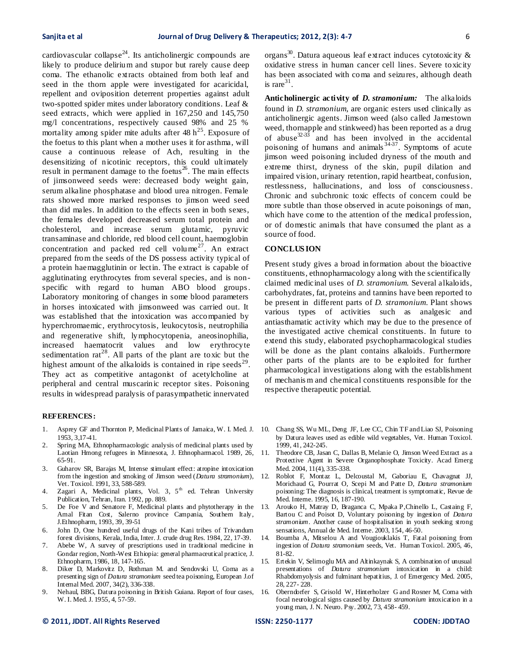cardiovascular collapse<sup>24</sup>. Its anticholinergic compounds are likely to produce delirium and stupor but rarely cause deep coma. The ethanolic extracts obtained from both leaf and seed in the thorn apple were investigated for acaricidal, repellent and oviposition deterrent properties against adult two-spotted spider mites under laboratory conditions. Leaf & seed extracts, which were applied in 167,250 and 145,750 mg/l concentrations, respectively caused 98% and 25 % mortality among spider mite adults after  $48 h<sup>25</sup>$ . Exposure of the foetus to this plant when a mother uses it for asthma, will cause a continuous release of Ach, resulting in the desensitizing of nicotinic receptors, this could ultimately result in permanent damage to the foetus $26$ . The main effects of jimsonweed seeds were: decreased body weight gain, serum alkaline phosphatase and blood urea nitrogen. Female rats showed more marked responses to jimson weed seed than did males. In addition to the effects seen in both sexes, the females developed decreased serum total protein and cholesterol, and increase serum glutamic, pyruvic transaminase and chloride, red blood cell count, haemoglobin concentration and packed red cell volume<sup>27</sup>. An extract prepared from the seeds of the DS possess activity typical of a protein haemagglutinin or lectin. The extract is capable of agglutinating erythrocytes from several species, and is nonspecific with regard to human ABO blood groups. Laboratory monitoring of changes in some blood parameters in horses intoxicated with jimsonweed was carried out. It was established that the intoxication was accompanied by hyperchromaemic, erythrocytosis, leukocytosis, neutrophilia and regenerative shift, lymphocytopenia, aneosinophilia, increased haematocrit values and low erythrocyte sedimentation  $rat^{28}$ . All parts of the plant are toxic but the highest amount of the alkaloids is contained in ripe seeds<sup>29</sup>. They act as competitive antagonist of acetylcholine at peripheral and central muscarinic receptor sites. Poisoning results in widespread paralysis of parasympathetic innervated

#### **REFERENCES:**

- 1. Asprey GF and Thornton P, Medicinal Plants of Jamaica, W. I. Med. J. 10. Chang SS, Wu ML, Deng JF, Lee CC, Chin TF and Liao SJ, Poisoning 1953, 3,17-41.
- 2. Spring MA, Ethnopharmacologic analysis of medicinal plants used by Laotian Hmong refugees in Minnesota, J. Ethnopharmacol. 1989, 26, 65-91.
- 3. Guharov SR, Barajas M, Intense stimulant effect: atropine intoxication from the ingestion and smoking of Jimson weed (*Datura stramonium*), Vet. Toxicol. 1991, 33, 588-589.
- 4. Zagari A, Medicinal plants, Vol. 3, 5<sup>th</sup> ed. Tehran University Publication, Tehran, Iran. 1992, pp. 889.
- 5. De Foe V and Senatore F, Medicinal plants and phytotherapy in the Amal Fitan Cost, Salerno province Campania, Southern Italy, J.Ethnopharm, 1993*,* 39, 39-51
- 6. John D, One hundred useful drugs of the Kani tribes of Trivandum forest divisions, Kerala, India, Inter. J. crude drug Res. 1984, 22, 17-39.
- 7. Abebe W, A survey of prescriptions used in traditional medicine in Gondar region, North-West Ethiopia: general pharmaceutical practice, J. Ethnopharm, 1986, 18, 147-165.
- 8. Diker D, Markovitz D, Rothman M. and Sendovski U, Coma as a presenting sign of *Datura stramonium* seed tea poisoning, European J.of Internal Med. 2007, 34(2), 336-338.
- 9. Nehaul, BBG, Datura poisoning in British Guiana. Report of four cases, W. I. Med. J. 1955, 4, 57-59.

organs $^{30}$ . Datura aqueous leaf extract induces cytotoxicity  $\&$ oxidative stress in human cancer cell lines. Severe toxicity has been associated with coma and seizures, although death is rare $31$ .

**Anticholinergic activity of** *D. stramonium:* The alkaloids found in *D. stramonium,* are organic esters used clinically as anticholinergic agents. Jimson weed (also called Jamestown weed, thornapple and stinkweed) has been reported as a drug of abuse<sup>32-33</sup> and has been involved in the accidental poisoning of humans and animals  $34-37$ . Symptoms of acute jimson weed poisoning included dryness of the mouth and extreme thirst, dryness of the skin, pupil dilation and impaired vision, urinary retention, rapid heartbeat, confusion, restlessness, hallucinations, and loss of consciousness. Chronic and subchronic toxic effects of concern could be more subtle than those observed in acute poisonings of man, which have come to the attention of the medical profession, or of domestic animals that have consumed the plant as a source of food.

# **CONCLUS ION**

Present study gives a broad information about the bioactive constituents, ethnopharmacology along with the scientifically claimed medicinal uses of *D. stramonium.* Several alkaloids, carbohydrates, fat, proteins and tannins have been reported to be present in different parts of *D. stramonium*. Plant shows various types of activities such as analgesic and antiasthamatic activity which may be due to the presence of the investigated active chemical constituents. In future to extend this study, elaborated psychopharmacological studies will be done as the plant contains alkaloids. Furthermore other parts of the plants are to be exploited for further pharmacological investigations along with the establishment of mechanis m and chemical constituents responsible for the respective therapeutic potential.

- by Datura leaves used as edible wild vegetables, Vet. Human Toxicol*.* 1999, 41, 242-245.
- 11. Theodore CB, Jasan C, Dallas B, Melanie O, Jimson Weed Extract as a Protective Agent in Severe Organophosphate Toxicity. Acad Emerg Med. 2004, 11(4), 335-338.
- 12. Roblot F, Montaz L, Delcoustal M, Gaboriau E, Chavagnat JJ, Morichaud G, Pourrat O, Scepi M and Patte D, *Datura stramonium*  poisoning: The diagnosis is clinical, treatment is symptomatic, Revue de Med. Interne. 1995, 16, 187-190.
- 13. Arouko H, Matray D, Braganca C, Mpaka P,Chinello L, Castaing F, Bartou C and Poisot D, Voluntary poisoning by ingestion of *Datura stramonium.* Another cause of hospitalisation in youth seeking strong sensations, Annual de Med. Interne. 2003, 154, 46-50.
- 14. Boumba A, Mitselou A and Vougiouklakis T, Fatal poisoning from ingestion of *Datura stramonium* seeds, Vet. Human Toxicol. 2005, 46, 81-82.
- 15. Ertekin V, Selimoglu MA and Altinkaynak S, A combination of unusual presentations of *Datura stramonium* intoxication in a child: Rhabdomyolysis and fulminant hepatitius, J. of Emergency Med. 2005, 28, 227- 228.
- 16. Oberndorfer S, Grisold W, Hinterholzer G and Rosner M, Coma with focal neurological signs caused by *Datura stramonium* intoxication in a young man, J. N. Neuro. Psy. 2002, 73, 458- 459.

#### **© 2011, JDDT. All Rights Reserved ISSN: 2250-1177 CODEN: JDDTAO**